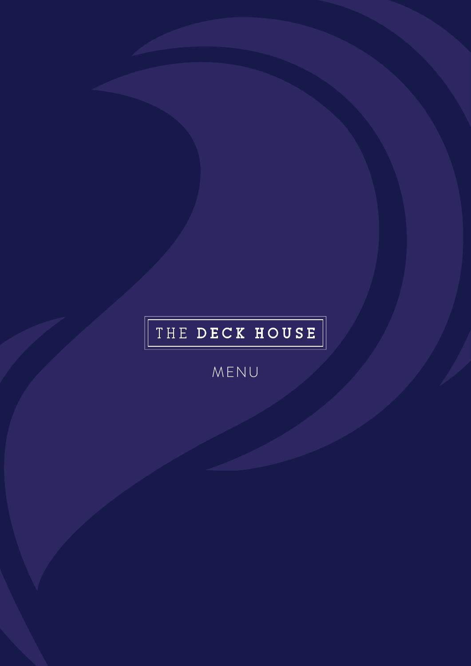# THE DECK HOUSE

MENU